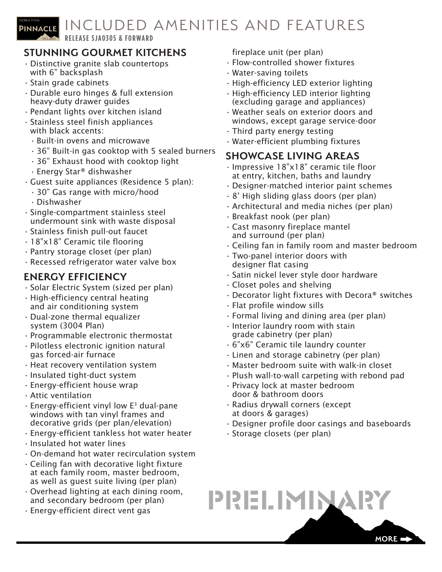

**RELEASE SJA0305 & FORWARD**

# **STUNNING GOURMET KITCHENS**

- Distinctive granite slab countertops with 6" backsplash
- Stain grade cabinets
- Durable euro hinges & full extension heavy-duty drawer guides
- Pendant lights over kitchen island
- Stainless steel finish appliances with black accents:
	- Built-in ovens and microwave
	- 36" Built-in gas cooktop with 5 sealed burners
	- 36" Exhaust hood with cooktop light
	- Energy Star® dishwasher
- Guest suite appliances (Residence 5 plan):
	- 30" Gas range with micro/hood
	- Dishwasher
- Single-compartment stainless steel undermount sink with waste disposal
- Stainless finish pull-out faucet
- 18"x18" Ceramic tile flooring
- Pantry storage closet (per plan)
- Recessed refrigerator water valve box

#### **ENERGY EFFICIENCY**

- Solar Electric System (sized per plan)
- High-efficiency central heating and air conditioning system
- Dual-zone thermal equalizer system (3004 Plan)
- Programmable electronic thermostat
- Pilotless electronic ignition natural gas forced-air furnace
- Heat recovery ventilation system
- Insulated tight-duct system
- Energy-efficient house wrap
- Attic ventilation
- $\cdot$  Energy-efficient vinyl low E<sup>3</sup> dual-pane windows with tan vinyl frames and decorative grids (per plan/elevation)
- Energy-efficient tankless hot water heater
- Insulated hot water lines
- On-demand hot water recirculation system
- Ceiling fan with decorative light fixture at each family room, master bedroom, as well as guest suite living (per plan)
- Overhead lighting at each dining room, and secondary bedroom (per plan)
- Energy-efficient direct vent gas

fireplace unit (per plan)

- Flow-controlled shower fixtures
- Water-saving toilets
- High-efficiency LED exterior lighting
- High-efficiency LED interior lighting (excluding garage and appliances)
- Weather seals on exterior doors and windows, except garage service-door
- Third party energy testing
- Water-efficient plumbing fixtures

#### **SHOWCASE LIVING AREAS**

- Impressive 18"x18" ceramic tile floor at entry, kitchen, baths and laundry
- Designer-matched interior paint schemes
- 8' High sliding glass doors (per plan)
- Architectural and media niches (per plan)
- Breakfast nook (per plan)
- Cast masonry fireplace mantel and surround (per plan)
- Ceiling fan in family room and master bedroom
- Two-panel interior doors with designer flat casing
- Satin nickel lever style door hardware
- Closet poles and shelving
- Decorator light fixtures with Decora® switches
- Flat profile window sills
- Formal living and dining area (per plan)
- Interior laundry room with stain grade cabinetry (per plan)
- 6"x6" Ceramic tile laundry counter
- Linen and storage cabinetry (per plan)
- Master bedroom suite with walk-in closet
- Plush wall-to-wall carpeting with rebond pad
- Privacy lock at master bedroom door & bathroom doors
- Radius drywall corners (except at doors & garages)
- Designer profile door casings and baseboards
- Storage closets (per plan)